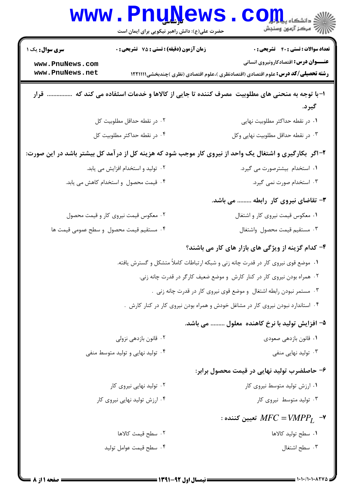|                                                                                                           | <b>WWW.FNUNGWS</b><br>حضرت علی(ع): دانش راهبر نیکویی برای ایمان است                | $\mathrm{JOLL}_2$ ز دانشگاه پیا $\mathrm{L}_2$<br>أأآه مركز آزمون وسنجش                                                                 |  |
|-----------------------------------------------------------------------------------------------------------|------------------------------------------------------------------------------------|-----------------------------------------------------------------------------------------------------------------------------------------|--|
| <b>سری سوال :</b> یک ۱                                                                                    | زمان آزمون (دقیقه) : تستی : 75 آتشریحی : 0                                         | <b>تعداد سوالات : تستی : 40 - تشریحی : 0</b>                                                                                            |  |
| www.PnuNews.com<br>www.PnuNews.net                                                                        |                                                                                    | <b>عنـــوان درس:</b> اقتصادکارونیروی انسانی<br><b>رشته تحصیلی/کد درس:</b> علوم اقتصادی (اقتصادنظری )،علوم اقتصادی (نظری )چندبخشی1۲۲۱۱۱۱ |  |
| ۱–با توجه به منحنی های مطلوبیت ًمصرف کننده تا جایی از کالاها و خدمات اسثفاده می کند که<br>قرار<br>گيرد.   |                                                                                    |                                                                                                                                         |  |
|                                                                                                           | ٢. در نقطه حداقل مطلوبيت كل                                                        | ۰۱ در نقطه حداکثر مطلوبیت نهایی                                                                                                         |  |
| ۴. در نقطه حداکثر مطلوبیت کل                                                                              |                                                                                    | ٠٣ در نقطه حداقل مطلوبيت نهايي وكل                                                                                                      |  |
| ۲- اگر ۖ بکارگیری و اشتغال یک واحد از نیروی کار موجب شود که هزینه کل از در آمد کل بیشتر باشد در این صورت: |                                                                                    |                                                                                                                                         |  |
| ۰۲ تولید و استخدام افزایش می یابد.                                                                        |                                                                                    | ۰۱ استخدام بیشترصورت می گیرد.                                                                                                           |  |
|                                                                                                           | ۰۴ قیمت محصول و استخدام کاهش می یابد.                                              | ۰۳ استخدام صورت نمی گیرد.                                                                                                               |  |
|                                                                                                           |                                                                                    | ۳- تقاضای نیروی کار رابطه  می باشد.                                                                                                     |  |
|                                                                                                           | ۰۲ معکوس قیمت نیروی کار و قیمت محصول                                               | ۰۱ معکوس قیمت نیروی کار و اشتغال                                                                                                        |  |
|                                                                                                           | ۰۴ مستقيم قيمت محصول و سطح عمومي قيمت ها                                           | ٠٣ مستقيم قيمت محصول واشتغال                                                                                                            |  |
|                                                                                                           |                                                                                    | ۴- کدام گزینه از ویژگی های بازار های کار می باشند؟                                                                                      |  |
|                                                                                                           | ۰۱ موضع قوی نیروی کار در قدرت چانه زنی و شبکه ارتباطات کاملاً متشکل و گسترش یافته. |                                                                                                                                         |  |
|                                                                                                           |                                                                                    | ۰۲ همراه بودن نیروی کار در کنار کارش و موضع ضعیف کارگر در قدرت چانه زنی.                                                                |  |
|                                                                                                           |                                                                                    | ۰۳ مستمر نبودن رابطه اشتغال ً و موضع قوی نیروی کار در قدرت چانه زنی .                                                                   |  |
|                                                                                                           |                                                                                    | ۰۴ استاندارد نبودن نیروی کار در مشاغل خودش و همراه بودن نیروی کار در کنار کارش .                                                        |  |
|                                                                                                           |                                                                                    | ۵– افزایش تولید با نرخ کاهنده ًمعلول  می باشد.                                                                                          |  |
|                                                                                                           | ۰۲ قانون بازدهی نزولی                                                              | ۰۱ قانون بازدهی صعودی                                                                                                                   |  |
|                                                                                                           | ۰۴ تولید نهایی و تولید متوسط منفی                                                  | ۰۳ تولید نهایی منفی                                                                                                                     |  |
|                                                                                                           |                                                                                    | ۶– حاصلضرب تولید نهایی در قیمت محصول برابر:                                                                                             |  |
|                                                                                                           | ۰۲ تولید نهایی نیروی کار                                                           | ۰۱ ارزش تولید متوسط نیروی کار                                                                                                           |  |
|                                                                                                           | ۰۴ ارزش تولید نهایی نیروی کار                                                      | ۰۳ تولید متوسط نیروی کار                                                                                                                |  |
|                                                                                                           |                                                                                    | : تعيين كننده MFC = VMPP $_I$ $\rightarrow$                                                                                             |  |
|                                                                                                           | ۰۲ سطح قیمث کالاها                                                                 | ٠١. سطح توليد كالاها                                                                                                                    |  |
|                                                                                                           | ۰۴ سطح قيمت عوامل توليد                                                            | ٠٣ سطح اشتغال                                                                                                                           |  |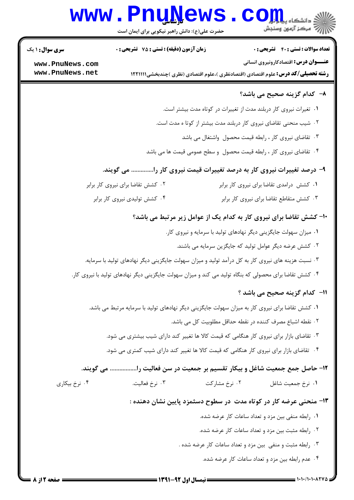# **www.PnuNews.com**

حضرت علی(ع): دانش راهبر نیکویی برای ایمان است

**تعداد سوالات : تستی : 40 - تشریحی : 0** 

زمان آزمون (دقيقه) : تستى : 75 - تشريحي : 0

**عنـــوان درس:** اقتصادکارونیروی انسانی

**رشته تحصیلی/کد درس:** علوم اقتصادی (اقتصادنظری )،علوم اقتصادی (نظری )چندبخشی1۲۲۱۱۱۱

www.PnuNews.com www.PnuNews.net

**سری سوال : ۱ یک** 

#### ٨- كدام گزينه صحيح مي باشد؟

۰۱ تغیرات نیروی کار دربلند مدت از تغییرات در کوتاه مدت بیشتر است.

۲. شیب منحنی تقاضای نیروی کار دربلند مدت بیشتر از کوتا ه مدت است.

۰۳ تقاضای نیروی کار ، رابطه قیمت محصول واشتغال می باشد

۰۴ تقاضای نیروی کار ، رابطه قیمت محصول و سطح عمومی قیمت ها می باشد

## ۹- درصد تغییرات نیروی کار به درصد تغییرات قیمت نیروی کار را.............. می گویند.

۰۲ کشش تقاضا برای نیروی کار برابر ۰۱ کشش درامدی تقاضا برای نیروی کار برابر ۰۴ کشش تولیدی نیروی کار برابر ۰۳ کشش متقاطع تقاضا برای نیروی کار برابر

## **۱۰- کشش تقاضا برای نیروی کار به کدام یک از عوامل زیر مرتبط می باشد؟**

- ٠١ ميزان سهولت جايگزيني ديگر نهادهاي توليد با سرمايه و نيروي كار. ۰۲ کشش عرضه دیگر عوامل تولید که جایگزین سرمایه می باشند. ۰۳ نسبت هزینه های نیروی کار به کل درآمد تولید و میزان سهولت جایگزینی دیگر نهادهای تولید با سرمایه.
- ۰۴ کشش تقاضا برای محصولی که بنگاه تولید می کند و میزان سهولت جایگزینی دیگر نهادهای تولید با نیروی کار.

#### 11- كدام گزينه صحيح مي باشد ؟

- ۰۱ کشش تقاضا برای نیروی کار به میزان سهولت جایگزینی دیگر نهادهای تولید با سرمایه مرتبط می باشد.
	- ٢. نقطه اشباع مصرف كننده در نقطه حداقل مطلوبيت كل مي باشد.
	- ۰۳ تقاضای بازار برای نیروی کار هنگامی که قیمت کالا ها تغییر کند دارای شیب بیشتری می شود.
	- ۰۴ تقاضای بازار برای نیروی کار هنگامی که قیمت کالا ها تغییر کند دارای شیب کمتری می شود.

١٢- حاصل جمع جمعيت شاغل و بيكار تقسيم بر جمعيت در سن فعاليت را................ مي گويند.

۰۴ نرخ بیکاری ۰۳ نرخ فعالیت. ۰۲ نرخ مشارکت ٠١ نرخ جمعيت شاغل

## ۱۳- منحنی عرضه کار در کوتاه مدت در سطوح دسثمزد پایین نشان دهنده :

- ۰۱ رابطه منفی بین مزد و تعداد ساعات کار عرضه شده.
- ۰۲ رابطه مثبت بین مزد و تعداد ساعات کار عرضه شده.
- ۰۳ رابطه مثبت و منفی بین مزد و تعداد ساعات کار عرضه شده .
	- ۴. عدم رابطه بین مزد و تعداد ساعات کار عرضه شده.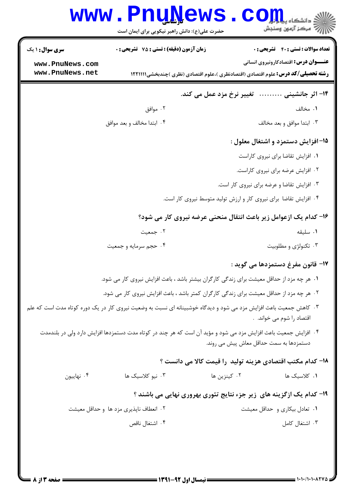|                        | <b>www.PnuNews</b><br>حضرت علی(ع): دانش راهبر نیکویی برای ایمان است                                                |                           | أأأآ مركز آزمون وسنجش                                                                    |
|------------------------|--------------------------------------------------------------------------------------------------------------------|---------------------------|------------------------------------------------------------------------------------------|
| <b>سری سوال : ۱ یک</b> | <b>زمان آزمون (دقیقه) : تستی : 75 تشریحی : 0</b>                                                                   |                           | <b>تعداد سوالات : تستي : 40 قشريحي : 0</b>                                               |
| www.PnuNews.com        |                                                                                                                    |                           | <b>عنـــوان درس:</b> اقتصادکارونیروی انسانی                                              |
| www.PnuNews.net        |                                                                                                                    |                           | <b>رشته تحصیلی/کد درس:</b> علوم اقتصادی (اقتصادنظری )،علوم اقتصادی (نظری )چندبخشی1۲۲۱۱۱۱ |
|                        |                                                                                                                    | تغییر نرخ مزد عمل می کند. | ۱۴- اثر جانشینی                                                                          |
|                        | ۰۲ موافق                                                                                                           |                           | ۰۱ مخالف                                                                                 |
|                        | ۰۴ ابتدا مخالف و بعد موافق                                                                                         |                           | ۰۳ ابتدا موافق و بعد مخالف                                                               |
|                        |                                                                                                                    |                           | 1۵– افزایش دستمزد و اشتغال معلول :                                                       |
|                        |                                                                                                                    |                           | ٠١ افزايش تقاضا براى نيروى كاراست                                                        |
|                        |                                                                                                                    |                           | ٠٢ افزايش عرضه براى نيروى كاراست.                                                        |
|                        |                                                                                                                    |                           | ۰۳ افزایش تقاضا و عرضه برای نیروی کار است.                                               |
|                        |                                                                                                                    |                           | ۰۴ افزایش تقاضا برای نیروی کار و ارزش تولید متوسط نیروی کار است.                         |
|                        |                                                                                                                    |                           | ۱۶– کدام یک ازعوامل زیر باعث انتقال منحنی عرضه نیروی کار می شود؟                         |
|                        | ۰۲ جمعیت                                                                                                           |                           | ۰۱ سلیقه                                                                                 |
|                        | ۰۴ حجم سرمايه و جمعيت                                                                                              |                           | ۰۳ تکنولژی و مطلوبیت                                                                     |
|                        |                                                                                                                    |                           | ١٧- قانون مفرغ دستمزدها مي گويد :                                                        |
|                        | ۰۱ هر چه مزد از حداقل معیشت برای زندگی کارگران بیشتر باشد ، باعث افزایش نیروی کار می شود.                          |                           |                                                                                          |
|                        | ۰۲ هر چه مزد از حداقل معیشت برای زندگی کارگران کمتر باشد ، باعث افزایش نیروی کار می شود.                           |                           |                                                                                          |
|                        | ۰۳ کاهش جمعیت باعث افزایش مزد می شود و دیدگاه خوشبینانه ای نسبت به وضعیت نیروی کار در یک دوره کوتاه مدت است که علم |                           | اقتصاد را شوم می خواند.  .                                                               |
|                        | ۰۴ افزایش جمعیت باعث افزایش مزد می شود و مؤید آن است که هر چند در کوتاه مدت دستمزدها افزایش دارد ولی در بلندمدت    |                           | دستمزدها به سمت حداقل معاش پیش می روند.                                                  |
|                        |                                                                                                                    |                           | ۱۸– کدام مکتب اقتصادی هزینه تولید را قیمت کالا می دانست ؟                                |
| ۰۴ نهاییون             | ۰۳ نیو کلاسیک ها                                                                                                   | ۰۲ کینزین ها              | ۰۱ کلاسیک ها                                                                             |
|                        |                                                                                                                    |                           | ۱۹- کدام یک ازگزینه های زیر جزء نتایج تئوری بهروری نهایی می باشند ؟                      |
|                        | ۰۲ انعطاف ناپذیری مزد ها و حداقل معیشت                                                                             |                           | ۰۱ تعادل بیکاری و حداقل معیشت                                                            |
|                        | ۰۴ اشتغال ناقص                                                                                                     |                           | ۰۳ اشتغال کامل                                                                           |
|                        |                                                                                                                    |                           |                                                                                          |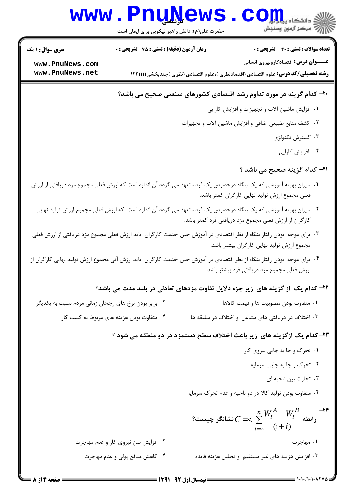# www.Pnu<u>N</u>ews.com

حضرت علي(ع): دانش راهبر نيكويي براي ايمان است

نعداد سوالات : تستي : 40 ٪ تشريحي : . زمان آزمون (دقيقه) : تستي : 75 ٪ تشريحي : 0 ٪ تسمى سوال الشري سوال : 1 يك

**عنـــوان درس:** اقتصادکارونیروی انسانی

**[www.PnuNews.com](http://pnunews.com) [www.PnuNews.net](http://www.PnuNews.net)**

**رشته تحصیلی/کد درس:** علوم اقتصادی (اقتصادنظری )،علوم اقتصادی (نظری )چندبخشی(۱۲۲۱۱۱۱

#### ۲۰- کدام گزینه در مورد تداوم رشد اقتصادی کشورهای صنعتی صحیح می باشد؟

- ۰۱ افزایش ماشین آلات و تجهیزات و افزایش کارایی
- ۰۲ كشف منابع طبيعي اضافي و افزايش ماشين آلات و تجهيزات
	- ۰۳ گسترش تکنولژی
		- ۰۴ افزایش کارایی

#### **۳۱- کدام گزینه صحیح می باشد** ؟

- ا . میزان بهینه آموزشی که یک بنگاه درخصوص یک فرد متعهد می گردد آن اندازه است که ارزش فعلی مجموع مزد دریافتی از ارزش فعلی مجموع ارزش تولید نهایی کارگران کمتر باشد.
	- ۲ . میزان بهینه آموزشی که یک بنگاه درخصوص یک فرد متعهد می گردد آن اندازه است که ارزش فعلی مجموع ارزش تولید نهایی كارگران از ارزش فعلى مجموع مزد دريافتي فرد كمتر باشد.
- ۳. برای موجه بودن رفتار بنگاه از نظر اقتصادی در آموزش حین خدمت کارگران باید ارزش فعلی مجموع مزد دریافتی از ارزش فعلی مجموع ارزش توليد نهايي كارگران بيشتر باشد.
- ۴ . برای موجه بودن رفتار بنگاه از نظر اقتصادی در آموزش حین خدمت کارگران باید ارزش آتی مجموع ارزش تولید نهایی کارگران از رزش فعلی مجموع مزد دریافتی فرد بیشتر باشد.

#### **۲۲**- کدام یک از گزینه های زیر جزء دلایل تفاوت مزدهای تعادلی در بلند مدت می باشد؟

- ودن نرخ های رجحان زمانی مردم نسبت به یکدیگر -M , - 
G K" % . .
	- ودن هزينه هاي مربوط به كسب كار ۰۳ اختلاف در دریافتی های مشاغل و اختلاف در سلیقه ها ۴ ۰ متفاوت با

#### ۲۳- کدام یک ازگزینه های زیر باعث اختلاف سطح دستمزد در دو منطقه می شود ؟

- ۰۱ تحرک و جا به جایی نیروی کار
	- ۰۲ تحرک و جا به جایی سرمایه
		- ۰۳ تجارت بین ناحیه ای
- ۰۴ متفاوت بودن تولید کالا در دو ناحیه و عدم تحرک سرمایه**»**

 $\sum\frac{\bm{v}\bm{t}}{t}$ رابطه  $\sum_{i=0}^{L}$  (1+ −  $\leq$   $\leq$   $\frac{n}{2}$ *t B t A t i*  $W_t^A-W$ *C*  $\int_{0}^{1} (1+i)$ نشانگر چیست؟ ^ C)F
'- H) F(- 1+ 8"9
J 4- F(- '() . . -24 ا مهاجرت الموقع المستخدمات المستخدمات المستخدمات المستخدمات المستخدمات المستخدمات المستخدمات المستخدمات المستخدمات المستخدمات المستخدمات المستخدمات المستخدمات المستخدمات المستخدمات المستخدمات المستخدمات المستخدمات المستخد

۰۲ افزایش سن نیروی کار و عدم مهاجرت ولي و عدم مهاجرت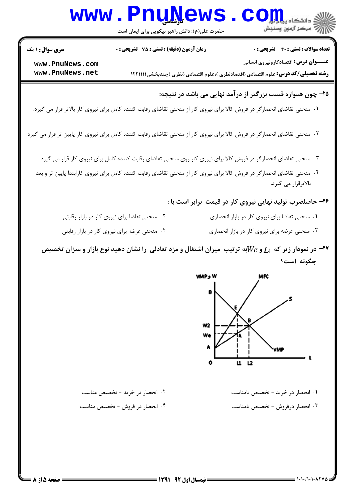|                                    | <b>www.PnuNews</b><br>حضرت علی(ع): دانش راهبر نیکویی برای ایمان است                                                        |                                    | $\sum \bigodot \prod_{i=1}^{n} \prod_{\substack{1 \leq i \leq \min \\\text{if } i < j \leq n}} \frac{1}{\min \{1, \ldots, n\}}$         |
|------------------------------------|----------------------------------------------------------------------------------------------------------------------------|------------------------------------|-----------------------------------------------------------------------------------------------------------------------------------------|
| سری سوال: ۱ یک                     | زمان آزمون (دقیقه) : تستی : 75 ٪ تشریحی : 0                                                                                |                                    | <b>تعداد سوالات : تستی : 40 - تشریحی : .</b>                                                                                            |
| www.PnuNews.com<br>www.PnuNews.net |                                                                                                                            |                                    | <b>عنـــوان درس:</b> اقتصادکارونیروی انسانی<br><b>رشته تحصیلی/کد درس:</b> علوم اقتصادی (اقتصادنظری )،علوم اقتصادی (نظری )چندبخشی1۲۲۱۱۱۱ |
|                                    |                                                                                                                            |                                    | ۲۵– چون همواره قیمت بزرگتر از درآمد نهایی می باشد در نتیجه:                                                                             |
|                                    | ۰۱ منحنی تقاضای انحصارگر در فروش کالا برای نیروی کار از منحنی تقاضای رقابت کننده کامل برای نیروی کار بالاتر قرار می گیرد.  |                                    |                                                                                                                                         |
|                                    | ۰۲ منحنی تقاضای انحصارگر در فروش کالا برای نیروی کار از منحنی تقاضای رقابت کننده کامل برای نیروی کار پایین تر قرار می گیرد |                                    |                                                                                                                                         |
|                                    | ۰۳ منحنی تقاضای انحصارگر در فروش کالا برای نیروی کار روی منحنی تقاضای رقابت کننده کامل برای نیروی کار قرار می گیرد.        |                                    |                                                                                                                                         |
|                                    | ۰۴ منحنی تقاضای انحصارگر در فروش کالا برای نیروی کار از منحنی تقاضای رقابت کننده کامل برای نیروی کارابتدا پایین تر و بعد   |                                    | بالاترقرار می گیرد.                                                                                                                     |
|                                    |                                                                                                                            |                                    | ۲۶- حاصلضرب تولید نهایی نیروی کار در قیمت برابر است با :                                                                                |
|                                    | ۰۲ منحنی تقاضا برای نیروی کار در بازار رقابتی.                                                                             |                                    | ٠١ منحنى تقاضا براى نيروى كار در بازار انحصارى                                                                                          |
|                                    | ۰۴ منحنی عرضه برای نیروی کار در بازار رقابتی                                                                               |                                    | ۰۳ منحنی عرضه برای نیروی کار در بازار انحصاری                                                                                           |
|                                    | در نمودار زیر که $L$ ا و $We$ به ترتیب میزان اشتغال و مزد تعادلی را نشان دهید نوع بازار و میزان تخصیص $\bullet$            |                                    | چگونه است؟                                                                                                                              |
|                                    |                                                                                                                            | VMP s V<br>W2<br>We<br>А<br>u<br>o | MFC<br>В<br>VMP<br>12                                                                                                                   |
|                                    | ۰۲ انحصار در خرید - تخصیص مناسب                                                                                            |                                    | ۰۱ انحصار در خرید - تخصیص نامناسب                                                                                                       |
|                                    | ۰۴ انحصار در فروش - تخصیص مناسب                                                                                            |                                    | ۰۳ انحصار درفروش - تخصیص نامناسب                                                                                                        |
|                                    |                                                                                                                            |                                    |                                                                                                                                         |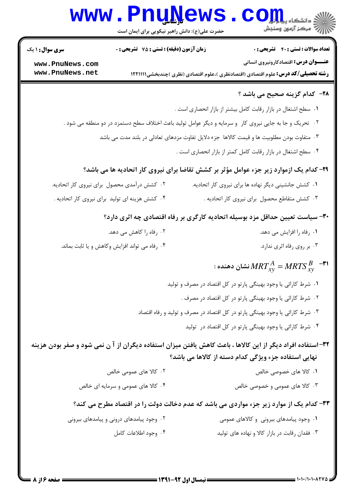# **www.PnuNews.com** ازارات مرکز آزمون وسنجش

حضرت علی(ع): دانش راهبر نیکویی برای ایمان است

**تعداد سوالات : تستی : 40 - تشریحی : 0** 

**زمان آزمون (دقیقه) : تستی : 75 ٪ تشریحی : 0** 

**سری سوال : ۱ یک** 

**عنـــوان درس:** اقتصادکارونیروی انسانی

**رشته تحصیلی/کد درس:** علوم اقتصادی (اقتصادنظری )،علوم اقتصادی (نظری )چندبخشی1۲۲۱۱۱۱

www.PnuNews.com www.PnuNews.net

#### **7۸**- کدام گزینه صحیح می باشد ؟

- ٠١ سطح اشتغال در بازار رقابت كامل بيشتر از بازار انحصارى است .
- ۲ . تحریک و جا به جایی نیروی کار و سرمایه و دیگر عوامل تولید باعث اختلاف سطح دستمزد در دو منطقه می شود .
	- ۰۳ متفاوت بودن مطلوبیت ها و قیمت کالاها ِ جزء دلایل تفاوت مزدهای تعادلی در بلند مدت می باشد ·
		- ۰۴ سطح اشتغال در بازار رقابت کامل کمتر از بازار انحصاری است .

## ۲۹- کدام یک ازموارد زیر جزء عوامل مؤثر بر کشش تقاضا برای نیروی کار اتحادیه ها می باشد؟

۲. کشش درآمدی محصول برای نیروی کار اتحادیه. ۰۱ کشش جانشینی دیگر نهاده ها برای نیروی کار اتحادیه. ۰۳ کشش متقاطع محصول برای نیروی کار اتحادیه . ۰۴ کشش هزینه ای تولید برای نیروی کار اتحادیه .

#### **۳۰**- سیاست تعیین حداقل مزد بوسیله اتحادیه کارگری بر رفاه اقتصادی چه اثری دارد؟

| ۰۲ رفاه را کاهش می دهد.                       | ۰۱ رفاه را افزایش می دهد.  |
|-----------------------------------------------|----------------------------|
| ۰۴ رفاه می تواند افزایش وکاهش و یا ثابت بماند | ۰۳ بر روی رفاه اثری ندارد. |

# : نشان دهنده $MRT_{_{X\!V}}^{A}=MRTS_{_{X\!V}}^{~B}$   $^{-{\boldsymbol{\textsf{r}}\text{\textsf{1}}}}$

- ۰۱ شرط کارائی یا وجود بهینگی پارتو در کل اقتصاد در مصرف و تولید ۲. شرط کارائی یا وجود بهینگی پارتو در کل اقتصاد در مصرف .
- ۰۳ شرط کارائی یا وجود بهینگی پارتو در کل اقتصاد در مصرف و تولید و رفاه اقتصاد
	- ۰۴ شرط کارائی یا وجود بهینگی پارتو در کل اقتصاد در تولید

۳۲- استفاده افراد دیگر از این کالاها ، باعث کاهش یافتن میزان استفاده دیگران از آ ن نمی شود و صفر بودن هزینه نهایی استفاده جزء ویژگی کدام دسته از کالاها می باشد؟

- ۰۲ کالا های عمومی خالص ۰۱ کالا های خصوصی خالص
- ۰۴ کالا های عمومی و سرمایه ای خالص ۰۳ کالا های عمومی و خصوصی خالص

## ۳۳- کدام یک از موارد زیر جزء مواردی می باشد که عدم دخالت دولت را در اقتصاد مطرح می کند؟

- ۰۲ وجود پیامدهای درونی و پیامدهای بیرونی ۰۱ وجود پیامدهای بیرونی و کالاهای عمومی
	- ۰۳ فقدان رقابت در بازار کالا و نهاده های تولید ۰۴ وجود اطلاعات كامل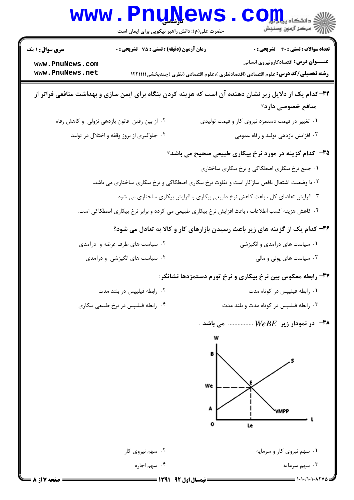| زمان آزمون (دقیقه) : تستی : 75 گشریحی : 0<br><b>تعداد سوالات : تستی : 40 - تشریحی : .</b><br><b>سری سوال : ۱ یک</b><br><b>عنـــوان درس:</b> اقتصادکارونیروی انسانی<br>www.PnuNews.com<br>www.PnuNews.net<br><b>رشته تحصیلی/کد درس:</b> علوم اقتصادی (اقتصادنظری )،علوم اقتصادی (نظری )چندبخشی1۲۲۱۱۱۱<br>۳۴-کدام یک از دلایل زیر نشان دهنده آن است که هزینه کردن بنگاه برای ایمن سازی و بهداشت منافعی فراتر از<br>منافع خصوصی دارد؟<br>۰۲ از بین رفتن قانون بازدهی نزولی و کاهش رفاه<br>۰۱ تغییر در قیمت دستمزد نیروی کار و قیمت تولیدی<br>۰۴ جلوگیری از بروز وقفه و اختلال در تولید<br>۰۳ افزایش بازدهی تولید و رفاه عمومی<br>۳۵– کدام گزینه در مورد نرخ بیکاری طبیعی صحیح می باشد؟<br>۰۱ جمع نرخ بیکاری اصطکاکی و نرخ بیکاری ساختاری<br>۰۲ با وضعیت اشتغال ناقص سازگار است و تفاوت نرخ بیکاری اصطکاکی و نرخ بیکاری ساختاری می باشد.<br>۰۳ افزایش تقاضای کل ، باعث کاهش نرخ طبیعی بیکاری و افزایش بیکاری ساختاری می شود.<br>۰۴ کاهش هزینه کسب اطلاعات ، باعث افزایش نرخ بیکاری طبیعی می کردد و برابر نرخ بیکاری اصطکاکی است.<br>۳۶- کدام یک از گزینه های زیر باعث رسیدن بازارهای کار و کالا به تعادل می شود؟<br>۰۲ سیاست های طرف عرضه و درآمدی<br>۰۱ سیاست های درآمدی و انگیزشی<br>۰۴ سیاست های انگیزشی و درآمدی<br>۰۳ سیاست های پولی و مالی |
|----------------------------------------------------------------------------------------------------------------------------------------------------------------------------------------------------------------------------------------------------------------------------------------------------------------------------------------------------------------------------------------------------------------------------------------------------------------------------------------------------------------------------------------------------------------------------------------------------------------------------------------------------------------------------------------------------------------------------------------------------------------------------------------------------------------------------------------------------------------------------------------------------------------------------------------------------------------------------------------------------------------------------------------------------------------------------------------------------------------------------------------------------------------------------------------------------------------------------------------------|
|                                                                                                                                                                                                                                                                                                                                                                                                                                                                                                                                                                                                                                                                                                                                                                                                                                                                                                                                                                                                                                                                                                                                                                                                                                              |
|                                                                                                                                                                                                                                                                                                                                                                                                                                                                                                                                                                                                                                                                                                                                                                                                                                                                                                                                                                                                                                                                                                                                                                                                                                              |
|                                                                                                                                                                                                                                                                                                                                                                                                                                                                                                                                                                                                                                                                                                                                                                                                                                                                                                                                                                                                                                                                                                                                                                                                                                              |
|                                                                                                                                                                                                                                                                                                                                                                                                                                                                                                                                                                                                                                                                                                                                                                                                                                                                                                                                                                                                                                                                                                                                                                                                                                              |
|                                                                                                                                                                                                                                                                                                                                                                                                                                                                                                                                                                                                                                                                                                                                                                                                                                                                                                                                                                                                                                                                                                                                                                                                                                              |
|                                                                                                                                                                                                                                                                                                                                                                                                                                                                                                                                                                                                                                                                                                                                                                                                                                                                                                                                                                                                                                                                                                                                                                                                                                              |
|                                                                                                                                                                                                                                                                                                                                                                                                                                                                                                                                                                                                                                                                                                                                                                                                                                                                                                                                                                                                                                                                                                                                                                                                                                              |
|                                                                                                                                                                                                                                                                                                                                                                                                                                                                                                                                                                                                                                                                                                                                                                                                                                                                                                                                                                                                                                                                                                                                                                                                                                              |
|                                                                                                                                                                                                                                                                                                                                                                                                                                                                                                                                                                                                                                                                                                                                                                                                                                                                                                                                                                                                                                                                                                                                                                                                                                              |
|                                                                                                                                                                                                                                                                                                                                                                                                                                                                                                                                                                                                                                                                                                                                                                                                                                                                                                                                                                                                                                                                                                                                                                                                                                              |
|                                                                                                                                                                                                                                                                                                                                                                                                                                                                                                                                                                                                                                                                                                                                                                                                                                                                                                                                                                                                                                                                                                                                                                                                                                              |
| ۳۷- رابطه معکوس بین نرخ بیکاری و نرخ تورم دستمزدها نشانگر:                                                                                                                                                                                                                                                                                                                                                                                                                                                                                                                                                                                                                                                                                                                                                                                                                                                                                                                                                                                                                                                                                                                                                                                   |
| ٠١ رابطه فيليپس در كوتاه مدت<br>۰۲ رابطه فیلیپس در بلند مدت                                                                                                                                                                                                                                                                                                                                                                                                                                                                                                                                                                                                                                                                                                                                                                                                                                                                                                                                                                                                                                                                                                                                                                                  |
| ۰۴ رابطه فیلیپس در نرخ طبیعی بیکاری<br>۰۳ رابطه فیلییس در کوتاه مدت و بلند مدت                                                                                                                                                                                                                                                                                                                                                                                                                                                                                                                                                                                                                                                                                                                                                                                                                                                                                                                                                                                                                                                                                                                                                               |
| - در نمودار زیر $B E$ می باشد .                                                                                                                                                                                                                                                                                                                                                                                                                                                                                                                                                                                                                                                                                                                                                                                                                                                                                                                                                                                                                                                                                                                                                                                                              |
| We<br>UMPP                                                                                                                                                                                                                                                                                                                                                                                                                                                                                                                                                                                                                                                                                                                                                                                                                                                                                                                                                                                                                                                                                                                                                                                                                                   |
| Le<br>۰۲ سهم نیروی کار<br>۰۱ سهم نیروی کار و سرمایه                                                                                                                                                                                                                                                                                                                                                                                                                                                                                                                                                                                                                                                                                                                                                                                                                                                                                                                                                                                                                                                                                                                                                                                          |
| ۰۴ سهم اجاره<br>۰۳ سهم سرمایه                                                                                                                                                                                                                                                                                                                                                                                                                                                                                                                                                                                                                                                                                                                                                                                                                                                                                                                                                                                                                                                                                                                                                                                                                |
| $1 - 1 - 11 - 1 - 1700 =$<br>صفحه 17 از 8<br>نیمسال اول 92-1391 =                                                                                                                                                                                                                                                                                                                                                                                                                                                                                                                                                                                                                                                                                                                                                                                                                                                                                                                                                                                                                                                                                                                                                                            |